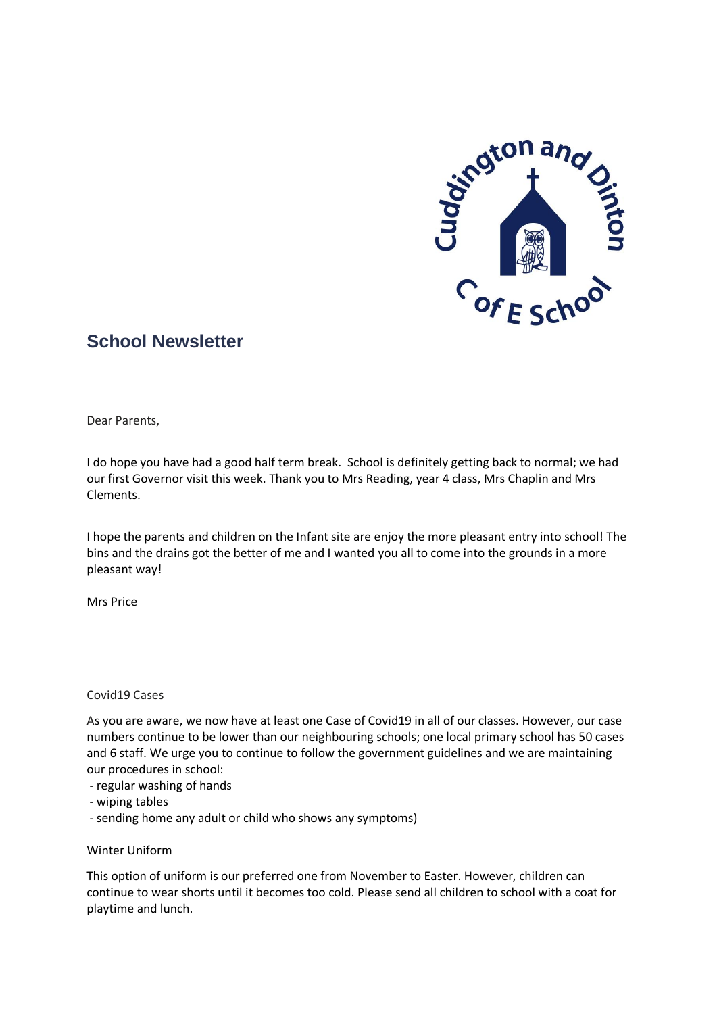

# **School Newsletter**

Dear Parents,

I do hope you have had a good half term break. School is definitely getting back to normal; we had our first Governor visit this week. Thank you to Mrs Reading, year 4 class, Mrs Chaplin and Mrs Clements.

I hope the parents and children on the Infant site are enjoy the more pleasant entry into school! The bins and the drains got the better of me and I wanted you all to come into the grounds in a more pleasant way!

Mrs Price

# Covid19 Cases

As you are aware, we now have at least one Case of Covid19 in all of our classes. However, our case numbers continue to be lower than our neighbouring schools; one local primary school has 50 cases and 6 staff. We urge you to continue to follow the government guidelines and we are maintaining our procedures in school:

- regular washing of hands
- wiping tables
- sending home any adult or child who shows any symptoms)

# Winter Uniform

This option of uniform is our preferred one from November to Easter. However, children can continue to wear shorts until it becomes too cold. Please send all children to school with a coat for playtime and lunch.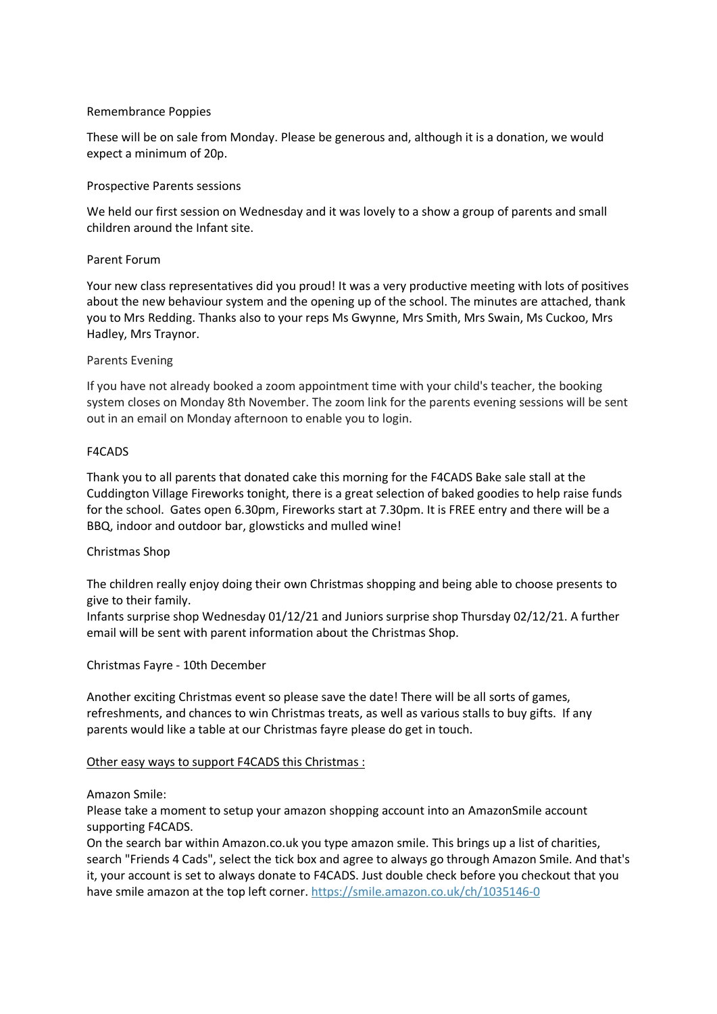## Remembrance Poppies

These will be on sale from Monday. Please be generous and, although it is a donation, we would expect a minimum of 20p.

## Prospective Parents sessions

We held our first session on Wednesday and it was lovely to a show a group of parents and small children around the Infant site.

## Parent Forum

Your new class representatives did you proud! It was a very productive meeting with lots of positives about the new behaviour system and the opening up of the school. The minutes are attached, thank you to Mrs Redding. Thanks also to your reps Ms Gwynne, Mrs Smith, Mrs Swain, Ms Cuckoo, Mrs Hadley, Mrs Traynor.

## Parents Evening

If you have not already booked a zoom appointment time with your child's teacher, the booking system closes on Monday 8th November. The zoom link for the parents evening sessions will be sent out in an email on Monday afternoon to enable you to login.

## F4CADS

Thank you to all parents that donated cake this morning for the F4CADS Bake sale stall at the Cuddington Village Fireworks tonight, there is a great selection of baked goodies to help raise funds for the school. Gates open 6.30pm, Fireworks start at 7.30pm. It is FREE entry and there will be a BBQ, indoor and outdoor bar, glowsticks and mulled wine!

# Christmas Shop

The children really enjoy doing their own Christmas shopping and being able to choose presents to give to their family.

Infants surprise shop Wednesday 01/12/21 and Juniors surprise shop Thursday 02/12/21. A further email will be sent with parent information about the Christmas Shop.

#### Christmas Fayre - 10th December

Another exciting Christmas event so please save the date! There will be all sorts of games, refreshments, and chances to win Christmas treats, as well as various stalls to buy gifts. If any parents would like a table at our Christmas fayre please do get in touch.

#### Other easy ways to support F4CADS this Christmas :

#### Amazon Smile:

Please take a moment to setup your amazon shopping account into an AmazonSmile account supporting F4CADS.

On the search bar within Amazon.co.uk you type amazon smile. This brings up a list of charities, search "Friends 4 Cads", select the tick box and agree to always go through Amazon Smile. And that's it, your account is set to always donate to F4CADS. Just double check before you checkout that you have smile amazon at the top left corner. <https://smile.amazon.co.uk/ch/1035146-0>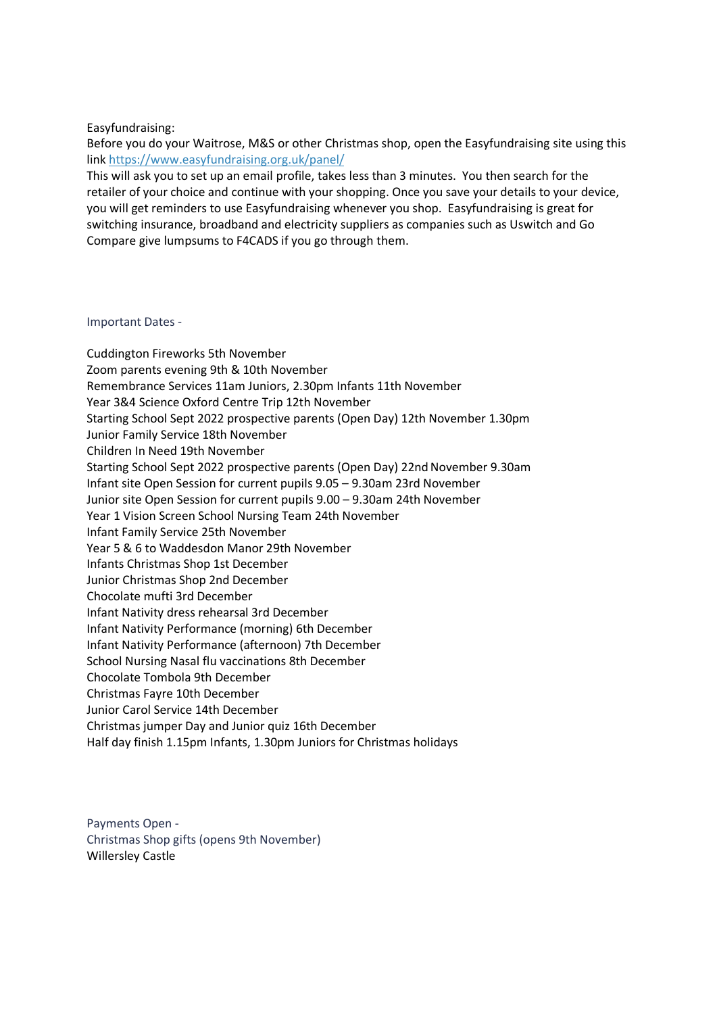# Easyfundraising:

Before you do your Waitrose, M&S or other Christmas shop, open the Easyfundraising site using this link <https://www.easyfundraising.org.uk/panel/>

This will ask you to set up an email profile, takes less than 3 minutes. You then search for the retailer of your choice and continue with your shopping. Once you save your details to your device, you will get reminders to use Easyfundraising whenever you shop. Easyfundraising is great for switching insurance, broadband and electricity suppliers as companies such as Uswitch and Go Compare give lumpsums to F4CADS if you go through them.

#### Important Dates -

Cuddington Fireworks 5th November Zoom parents evening 9th & 10th November Remembrance Services 11am Juniors, 2.30pm Infants 11th November Year 3&4 Science Oxford Centre Trip 12th November Starting School Sept 2022 prospective parents (Open Day) 12th November 1.30pm Junior Family Service 18th November Children In Need 19th November Starting School Sept 2022 prospective parents (Open Day) 22nd November 9.30am Infant site Open Session for current pupils 9.05 – 9.30am 23rd November Junior site Open Session for current pupils 9.00 – 9.30am 24th November Year 1 Vision Screen School Nursing Team 24th November Infant Family Service 25th November Year 5 & 6 to Waddesdon Manor 29th November Infants Christmas Shop 1st December Junior Christmas Shop 2nd December Chocolate mufti 3rd December Infant Nativity dress rehearsal 3rd December Infant Nativity Performance (morning) 6th December Infant Nativity Performance (afternoon) 7th December School Nursing Nasal flu vaccinations 8th December Chocolate Tombola 9th December Christmas Fayre 10th December Junior Carol Service 14th December Christmas jumper Day and Junior quiz 16th December Half day finish 1.15pm Infants, 1.30pm Juniors for Christmas holidays

Payments Open - Christmas Shop gifts (opens 9th November) Willersley Castle